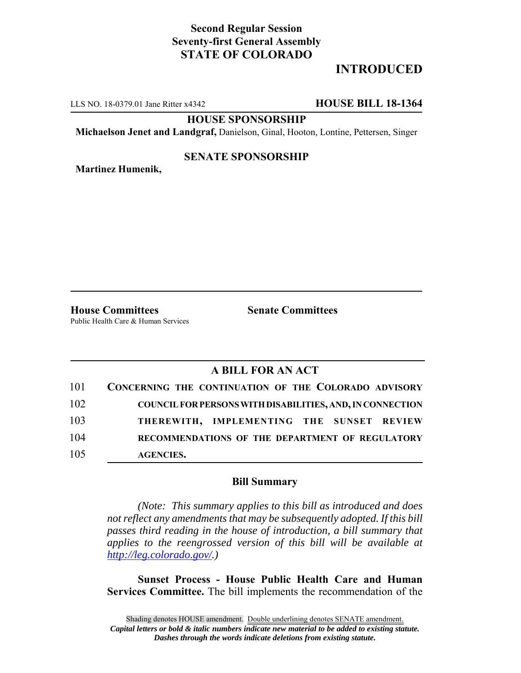## **Second Regular Session Seventy-first General Assembly STATE OF COLORADO**

# **INTRODUCED**

LLS NO. 18-0379.01 Jane Ritter x4342 **HOUSE BILL 18-1364**

**HOUSE SPONSORSHIP**

**Michaelson Jenet and Landgraf,** Danielson, Ginal, Hooton, Lontine, Pettersen, Singer

### **SENATE SPONSORSHIP**

**Martinez Humenik,**

**House Committees Senate Committees**

Public Health Care & Human Services

# **A BILL FOR AN ACT**

| 101 | CONCERNING THE CONTINUATION OF THE COLORADO ADVISORY             |
|-----|------------------------------------------------------------------|
| 102 | <b>COUNCIL FOR PERSONS WITH DISABILITIES, AND, IN CONNECTION</b> |
| 103 | THEREWITH, IMPLEMENTING THE SUNSET REVIEW                        |
| 104 | RECOMMENDATIONS OF THE DEPARTMENT OF REGULATORY                  |
| 105 | <b>AGENCIES.</b>                                                 |

### **Bill Summary**

*(Note: This summary applies to this bill as introduced and does not reflect any amendments that may be subsequently adopted. If this bill passes third reading in the house of introduction, a bill summary that applies to the reengrossed version of this bill will be available at http://leg.colorado.gov/.)*

**Sunset Process - House Public Health Care and Human Services Committee.** The bill implements the recommendation of the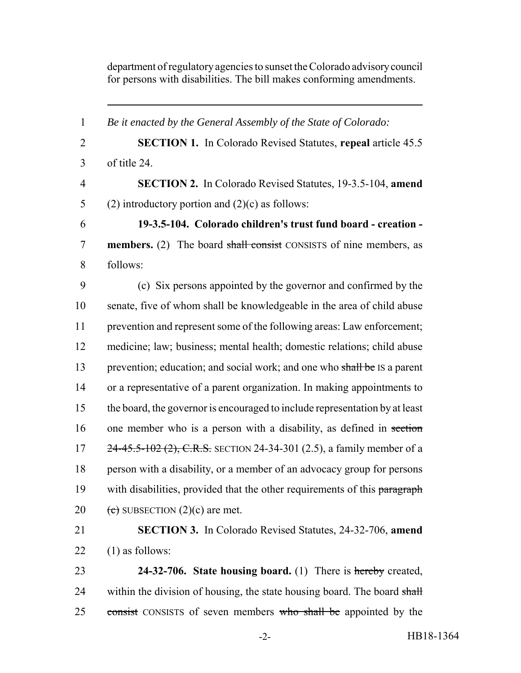department of regulatory agencies to sunset the Colorado advisory council for persons with disabilities. The bill makes conforming amendments.

 *Be it enacted by the General Assembly of the State of Colorado:* **SECTION 1.** In Colorado Revised Statutes, **repeal** article 45.5 of title 24. **SECTION 2.** In Colorado Revised Statutes, 19-3.5-104, **amend** 5 (2) introductory portion and  $(2)(c)$  as follows: **19-3.5-104. Colorado children's trust fund board - creation - members.** (2) The board shall consist CONSISTS of nine members, as 8 follows: (c) Six persons appointed by the governor and confirmed by the senate, five of whom shall be knowledgeable in the area of child abuse prevention and represent some of the following areas: Law enforcement; medicine; law; business; mental health; domestic relations; child abuse 13 prevention; education; and social work; and one who shall be IS a parent or a representative of a parent organization. In making appointments to the board, the governor is encouraged to include representation by at least 16 one member who is a person with a disability, as defined in section 17 24-45.5-102 (2), C.R.S. SECTION 24-34-301 (2.5), a family member of a person with a disability, or a member of an advocacy group for persons 19 with disabilities, provided that the other requirements of this paragraph  $\left( \frac{1}{2} \right)$  SUBSECTION  $(2)(c)$  are met. **SECTION 3.** In Colorado Revised Statutes, 24-32-706, **amend**  $(1)$  as follows: **24-32-706. State housing board.** (1) There is hereby created, 24 within the division of housing, the state housing board. The board shall

25 consist CONSISTS of seven members who shall be appointed by the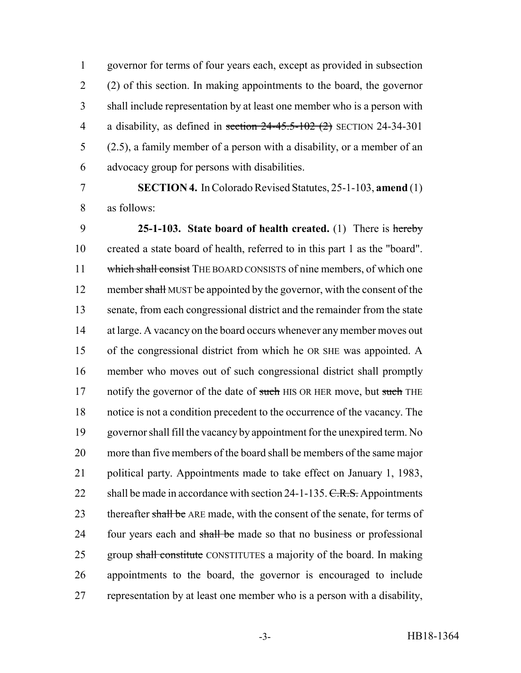governor for terms of four years each, except as provided in subsection (2) of this section. In making appointments to the board, the governor shall include representation by at least one member who is a person with 4 a disability, as defined in section  $24-45.5-102$  (2) SECTION 24-34-301 (2.5), a family member of a person with a disability, or a member of an advocacy group for persons with disabilities.

 **SECTION 4.** In Colorado Revised Statutes, 25-1-103, **amend** (1) as follows:

 **25-1-103. State board of health created.** (1) There is hereby created a state board of health, referred to in this part 1 as the "board". 11 which shall consist THE BOARD CONSISTS of nine members, of which one 12 member shall MUST be appointed by the governor, with the consent of the senate, from each congressional district and the remainder from the state 14 at large. A vacancy on the board occurs whenever any member moves out of the congressional district from which he OR SHE was appointed. A member who moves out of such congressional district shall promptly 17 notify the governor of the date of such HIS OR HER move, but such THE notice is not a condition precedent to the occurrence of the vacancy. The governor shall fill the vacancy by appointment for the unexpired term. No more than five members of the board shall be members of the same major political party. Appointments made to take effect on January 1, 1983, 22 shall be made in accordance with section  $24-1-135$ . C.R.S. Appointments 23 thereafter shall be ARE made, with the consent of the senate, for terms of 24 four years each and shall be made so that no business or professional 25 group shall constitute CONSTITUTES a majority of the board. In making appointments to the board, the governor is encouraged to include representation by at least one member who is a person with a disability,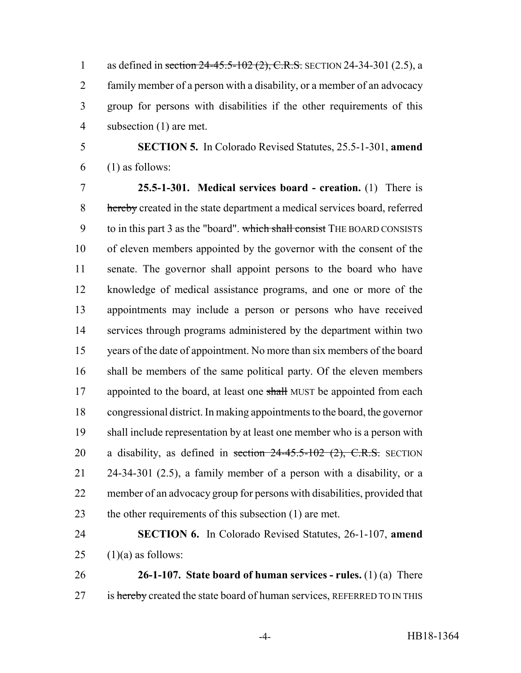1 as defined in section 24-45.5-102 (2), C.R.S. SECTION 24-34-301 (2.5), a family member of a person with a disability, or a member of an advocacy group for persons with disabilities if the other requirements of this subsection (1) are met.

 **SECTION 5.** In Colorado Revised Statutes, 25.5-1-301, **amend** (1) as follows:

 **25.5-1-301. Medical services board - creation.** (1) There is 8 hereby created in the state department a medical services board, referred 9 to in this part 3 as the "board". which shall consist THE BOARD CONSISTS of eleven members appointed by the governor with the consent of the senate. The governor shall appoint persons to the board who have knowledge of medical assistance programs, and one or more of the appointments may include a person or persons who have received services through programs administered by the department within two years of the date of appointment. No more than six members of the board shall be members of the same political party. Of the eleven members 17 appointed to the board, at least one shall MUST be appointed from each congressional district. In making appointments to the board, the governor shall include representation by at least one member who is a person with 20 a disability, as defined in section  $24-45.5-102$  (2), C.R.S. SECTION 24-34-301 (2.5), a family member of a person with a disability, or a member of an advocacy group for persons with disabilities, provided that 23 the other requirements of this subsection (1) are met.

# **SECTION 6.** In Colorado Revised Statutes, 26-1-107, **amend** 25  $(1)(a)$  as follows:

 **26-1-107. State board of human services - rules.** (1) (a) There 27 is hereby created the state board of human services, REFERRED TO IN THIS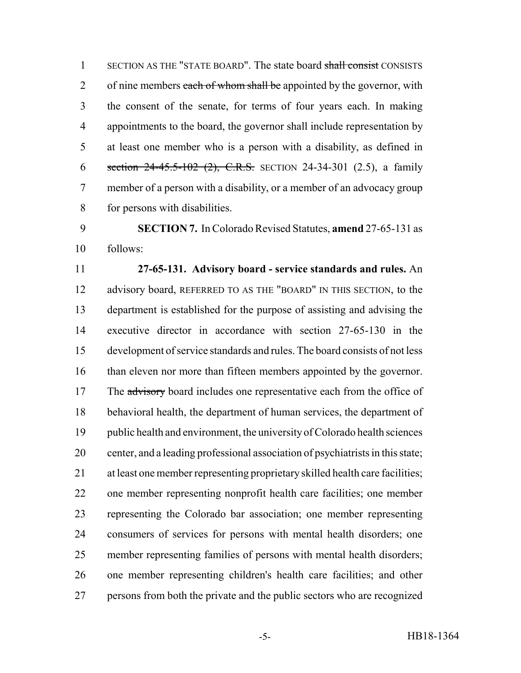SECTION AS THE "STATE BOARD". The state board shall consist CONSISTS 2 of nine members each of whom shall be appointed by the governor, with the consent of the senate, for terms of four years each. In making appointments to the board, the governor shall include representation by at least one member who is a person with a disability, as defined in 6 section 24-45.5-102 (2), C.R.S. SECTION 24-34-301 (2.5), a family member of a person with a disability, or a member of an advocacy group for persons with disabilities.

 **SECTION 7.** In Colorado Revised Statutes, **amend** 27-65-131 as follows:

 **27-65-131. Advisory board - service standards and rules.** An 12 advisory board, REFERRED TO AS THE "BOARD" IN THIS SECTION, to the department is established for the purpose of assisting and advising the executive director in accordance with section 27-65-130 in the development of service standards and rules. The board consists of not less than eleven nor more than fifteen members appointed by the governor. 17 The advisory board includes one representative each from the office of behavioral health, the department of human services, the department of public health and environment, the university of Colorado health sciences center, and a leading professional association of psychiatrists in this state; at least one member representing proprietary skilled health care facilities; one member representing nonprofit health care facilities; one member representing the Colorado bar association; one member representing consumers of services for persons with mental health disorders; one member representing families of persons with mental health disorders; one member representing children's health care facilities; and other persons from both the private and the public sectors who are recognized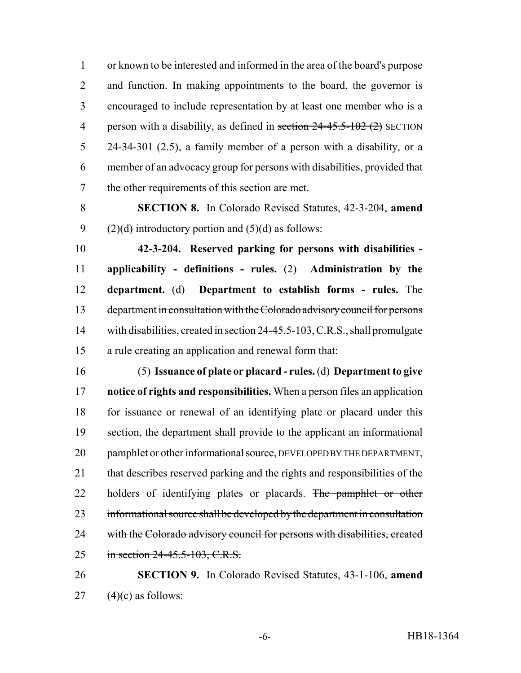or known to be interested and informed in the area of the board's purpose and function. In making appointments to the board, the governor is encouraged to include representation by at least one member who is a 4 person with a disability, as defined in section  $24-45.5-102(2)$  SECTION 24-34-301 (2.5), a family member of a person with a disability, or a member of an advocacy group for persons with disabilities, provided that the other requirements of this section are met.

 **SECTION 8.** In Colorado Revised Statutes, 42-3-204, **amend** 9 (2)(d) introductory portion and  $(5)(d)$  as follows:

 **42-3-204. Reserved parking for persons with disabilities - applicability - definitions - rules.** (2) **Administration by the department.** (d) **Department to establish forms - rules.** The 13 department in consultation with the Colorado advisory council for persons 14 with disabilities, created in section 24-45.5-103, C.R.S., shall promulgate a rule creating an application and renewal form that:

 (5) **Issuance of plate or placard - rules.** (d) **Department to give notice of rights and responsibilities.** When a person files an application for issuance or renewal of an identifying plate or placard under this section, the department shall provide to the applicant an informational 20 pamphlet or other informational source, DEVELOPED BY THE DEPARTMENT, that describes reserved parking and the rights and responsibilities of the 22 holders of identifying plates or placards. The pamphlet or other informational source shall be developed by the department in consultation 24 with the Colorado advisory council for persons with disabilities, created in section 24-45.5-103, C.R.S.

 **SECTION 9.** In Colorado Revised Statutes, 43-1-106, **amend** 27  $(4)(c)$  as follows: